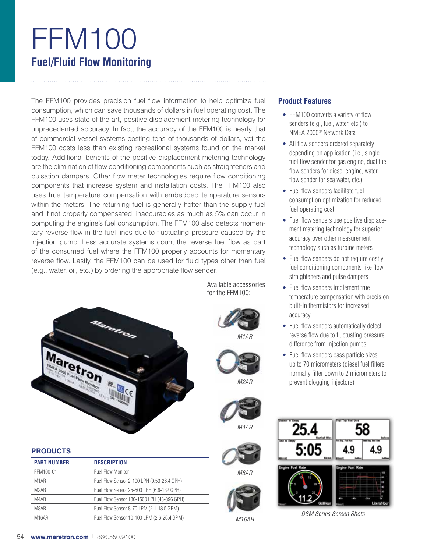# FFM100 **Fuel/Fluid Flow Monitoring**

The FFM100 provides precision fuel flow information to help optimize fuel consumption, which can save thousands of dollars in fuel operating cost. The FFM100 uses state-of-the-art, positive displacement metering technology for unprecedented accuracy. In fact, the accuracy of the FFM100 is nearly that of commercial vessel systems costing tens of thousands of dollars, yet the FFM100 costs less than existing recreational systems found on the market today. Additional benefits of the positive displacement metering technology are the elimination of flow conditioning components such as straighteners and pulsation dampers. Other flow meter technologies require flow conditioning components that increase system and installation costs. The FFM100 also uses true temperature compensation with embedded temperature sensors within the meters. The returning fuel is generally hotter than the supply fuel and if not properly compensated, inaccuracies as much as 5% can occur in computing the engine's fuel consumption. The FFM100 also detects momentary reverse flow in the fuel lines due to fluctuating pressure caused by the injection pump. Less accurate systems count the reverse fuel flow as part of the consumed fuel where the FFM100 properly accounts for momentary reverse flow. Lastly, the FFM100 can be used for fluid types other than fuel (e.g., water, oil, etc.) by ordering the appropriate flow sender.

> Available accessories for the FFM100:

> > *M1AR*

*M2AR*

*M4AR*

*M8AR*

*M16AR*



# **PRODUCTS**

| <b>PART NUMBER</b> | <b>DESCRIPTION</b>                         |
|--------------------|--------------------------------------------|
| FFM100-01          | <b>Fuel Flow Monitor</b>                   |
| M <sub>1</sub> AR  | Fuel Flow Sensor 2-100 LPH (0.53-26.4 GPH) |
| M <sub>2</sub> AR  | Fuel Flow Sensor 25-500 LPH (6.6-132 GPH)  |
| M4AR               | Fuel Flow Sensor 180-1500 LPH (48-396 GPH) |
| M8AR               | Fuel Flow Sensor 8-70 LPM (2.1-18.5 GPM)   |
| M16AR              | Fuel Flow Sensor 10-100 LPM (2.6-26.4 GPM) |

# **Product Features**

- FFM100 converts a variety of flow senders (e.g., fuel, water, etc.) to NMEA 2000® Network Data
- All flow senders ordered separately depending on application (i.e., single fuel flow sender for gas engine, dual fuel flow senders for diesel engine, water flow sender for sea water, etc.)
- Fuel flow senders facilitate fuel consumption optimization for reduced fuel operating cost
- Fuel flow senders use positive displacement metering technology for superior accuracy over other measurement technology such as turbine meters
- Fuel flow senders do not require costly fuel conditioning components like flow straighteners and pulse dampers
- Fuel flow senders implement true temperature compensation with precision built-in thermistors for increased accuracy
- Fuel flow senders automatically detect reverse flow due to fluctuating pressure difference from injection pumps
- Fuel flow senders pass particle sizes up to 70 micrometers (diesel fuel filters normally filter down to 2 micrometers to prevent clogging injectors)



*DSM Series Screen Shots*